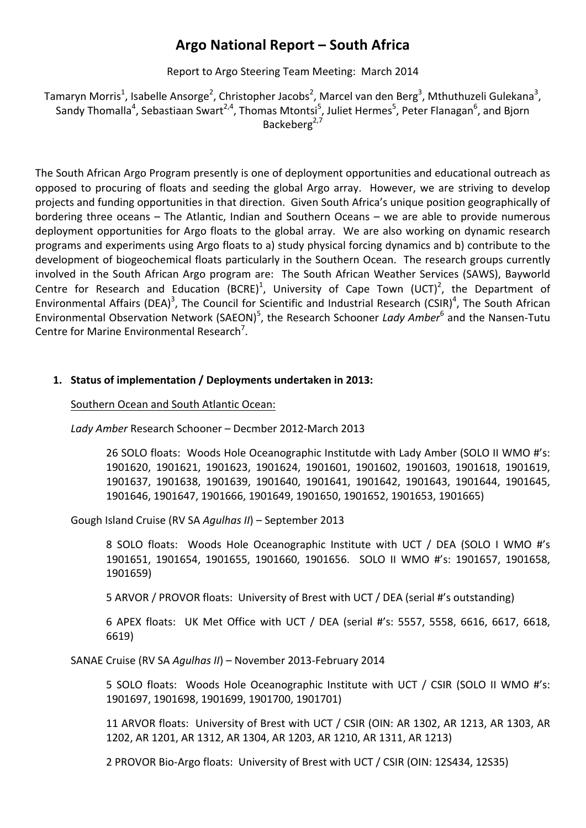## **Argo National Report – South Africa**

Report to Argo Steering Team Meeting: March 2014

Tamaryn Morris<sup>1</sup>, Isabelle Ansorge<sup>2</sup>, Christopher Jacobs<sup>2</sup>, Marcel van den Berg<sup>3</sup>, Mthuthuzeli Gulekana<sup>3</sup>, Sandy Thomalla<sup>4</sup>, Sebastiaan Swart<sup>2,4</sup>, Thomas Mtontsi<sup>5</sup>, Juliet Hermes<sup>5</sup>, Peter Flanagan<sup>6</sup>, and Bjorn Backeberg $2,7$ 

The South African Argo Program presently is one of deployment opportunities and educational outreach as opposed to procuring of floats and seeding the global Argo array. However, we are striving to develop projects and funding opportunities in that direction. Given South Africa's unique position geographically of bordering three oceans  $-$  The Atlantic, Indian and Southern Oceans  $-$  we are able to provide numerous deployment opportunities for Argo floats to the global array. We are also working on dynamic research programs and experiments using Argo floats to a) study physical forcing dynamics and b) contribute to the development of biogeochemical floats particularly in the Southern Ocean. The research groups currently involved in the South African Argo program are: The South African Weather Services (SAWS), Bayworld Centre for Research and Education (BCRE)<sup>1</sup>, University of Cape Town (UCT)<sup>2</sup>, the Department of Environmental Affairs (DEA)<sup>3</sup>, The Council for Scientific and Industrial Research (CSIR)<sup>4</sup>, The South African Environmental Observation Network (SAEON)<sup>5</sup>, the Research Schooner *Lady Amber*<sup>6</sup> and the Nansen-Tutu Centre for Marine Environmental Research<sup>7</sup>.

#### 1. Status of implementation / Deployments undertaken in 2013:

Southern Ocean and South Atlantic Ocean:

Lady Amber Research Schooner – Decmber 2012-March 2013

26 SOLO floats: Woods Hole Oceanographic Institutde with Lady Amber (SOLO II WMO #'s: 1901620, 1901621, 1901623, 1901624, 1901601, 1901602, 1901603, 1901618, 1901619, 1901637, 1901638, 1901639, 1901640, 1901641, 1901642, 1901643, 1901644, 1901645, 1901646, 1901647, 1901666, 1901649, 1901650, 1901652, 1901653, 1901665)

Gough Island Cruise (RV SA *Agulhas II*) – September 2013

8 SOLO floats: Woods Hole Oceanographic Institute with UCT / DEA (SOLO I WMO #'s 1901651, 1901654, 1901655, 1901660, 1901656. SOLO II WMO #'s: 1901657, 1901658, 1901659) 

5 ARVOR / PROVOR floats: University of Brest with UCT / DEA (serial #'s outstanding)

6 APEX floats: UK Met Office with UCT / DEA (serial #'s: 5557, 5558, 6616, 6617, 6618, 6619)

SANAE Cruise (RV SA *Agulhas II*) – November 2013-February 2014

5 SOLO floats: Woods Hole Oceanographic Institute with UCT / CSIR (SOLO II WMO #'s: 1901697, 1901698, 1901699, 1901700, 1901701) 

11 ARVOR floats: University of Brest with UCT / CSIR (OIN: AR 1302, AR 1213, AR 1303, AR 1202, AR 1201, AR 1312, AR 1304, AR 1203, AR 1210, AR 1311, AR 1213)

2 PROVOR Bio-Argo floats: University of Brest with UCT / CSIR (OIN: 12S434, 12S35)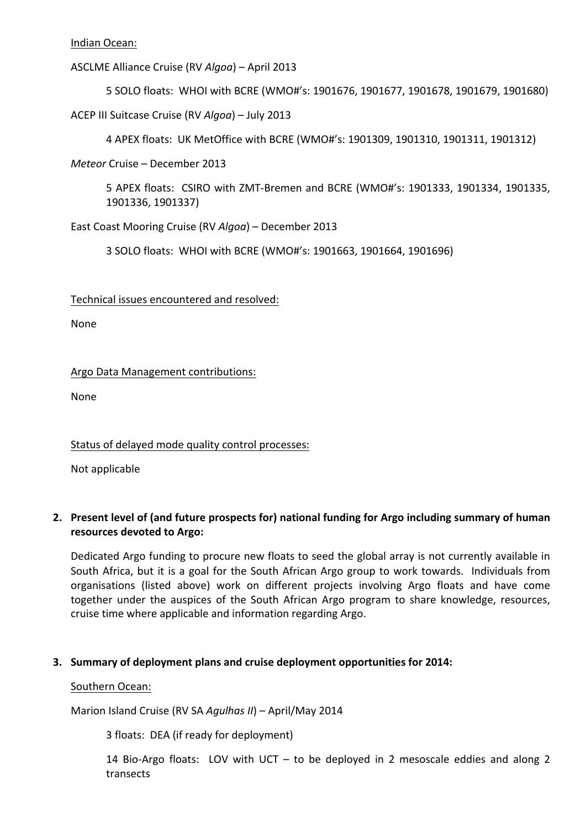Indian Ocean:

ASCLME Alliance Cruise (RV *Algoa*) – April 2013

5 SOLO floats: WHOI with BCRE (WMO#'s: 1901676, 1901677, 1901678, 1901679, 1901680)

ACEP III Suitcase Cruise (RV Algoa) – July 2013

4 APEX floats: UK MetOffice with BCRE (WMO#'s: 1901309, 1901310, 1901311, 1901312)

*Meteor* Cruise – December 2013

5 APEX floats: CSIRO with ZMT-Bremen and BCRE (WMO#'s: 1901333, 1901334, 1901335, 1901336, 1901337)

East Coast Mooring Cruise (RV *Algoa*) – December 2013

3 SOLO floats: WHOI with BCRE (WMO#'s: 1901663, 1901664, 1901696)

Technical issues encountered and resolved:

None 

Argo Data Management contributions:

None

Status of delayed mode quality control processes:

Not applicable

#### 2. Present level of (and future prospects for) national funding for Argo including summary of human **resources devoted to Argo:**

Dedicated Argo funding to procure new floats to seed the global array is not currently available in South Africa, but it is a goal for the South African Argo group to work towards. Individuals from organisations (listed above) work on different projects involving Argo floats and have come together under the auspices of the South African Argo program to share knowledge, resources, cruise time where applicable and information regarding Argo.

#### **3.** Summary of deployment plans and cruise deployment opportunities for 2014:

#### Southern Ocean:

Marion Island Cruise (RV SA *Agulhas II*) – April/May 2014

3 floats: DEA (if ready for deployment)

14 Bio-Argo floats: LOV with UCT  $-$  to be deployed in 2 mesoscale eddies and along 2 transects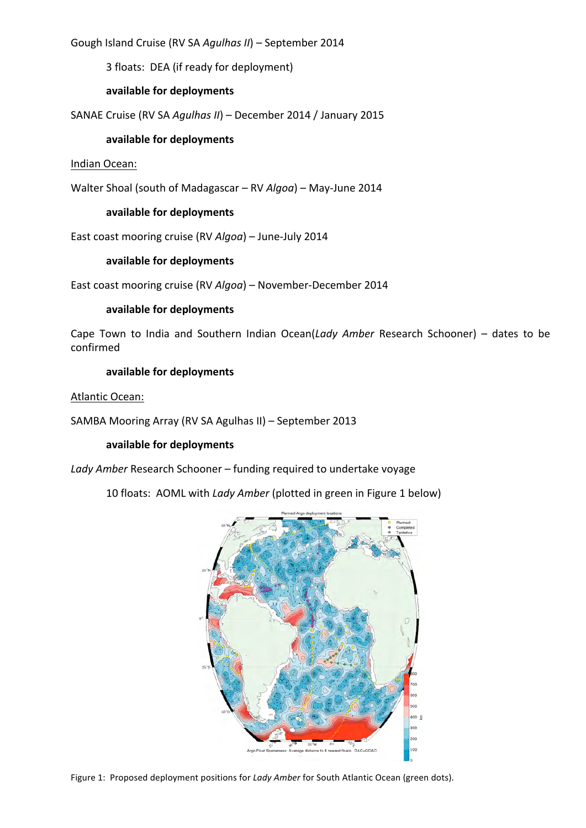Gough Island Cruise (RV SA *Agulhas II*) – September 2014

3 floats: DEA (if ready for deployment)

#### **available for deployments**

SANAE Cruise (RV SA *Agulhas II*) – December 2014 / January 2015

#### **available for deployments**

#### Indian Ocean:

Walter Shoal (south of Madagascar – RV *Algoa*) – May-June 2014

#### **available for deployments**

East coast mooring cruise (RV *Algoa*) – June-July 2014

#### **available for deployments**

East coast mooring cruise (RV *Algoa*) - November-December 2014

#### **available for deployments**

Cape Town to India and Southern Indian Ocean(*Lady Amber* Research Schooner) – dates to be confirmed

#### **available for deployments**

Atlantic Ocean:

SAMBA Mooring Array (RV SA Agulhas II) – September 2013

#### **available for deployments**

Lady Amber Research Schooner – funding required to undertake voyage

10 floats: AOML with *Lady Amber* (plotted in green in Figure 1 below)



Figure 1: Proposed deployment positions for *Lady Amber* for South Atlantic Ocean (green dots).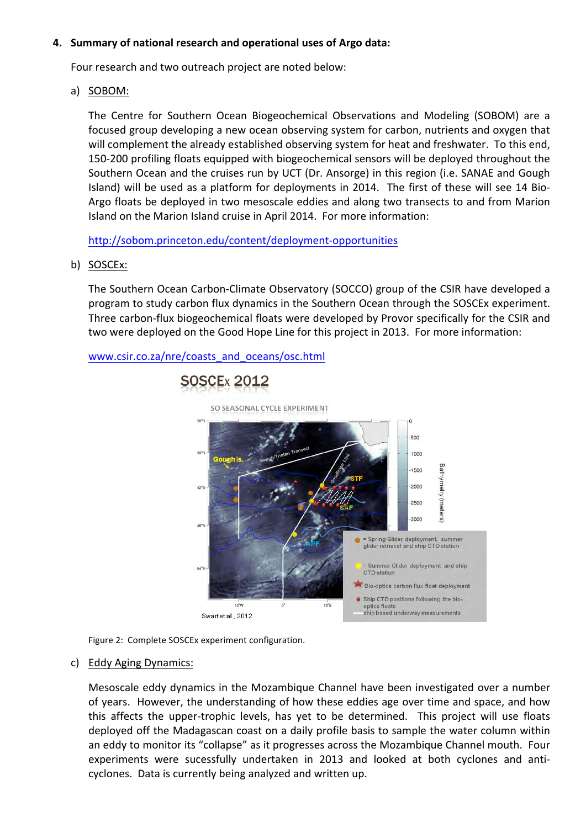#### 4. Summary of national research and operational uses of Argo data:

Four research and two outreach project are noted below:

a) SOBOM:

The Centre for Southern Ocean Biogeochemical Observations and Modeling (SOBOM) are a focused group developing a new ocean observing system for carbon, nutrients and oxygen that will complement the already established observing system for heat and freshwater. To this end, 150-200 profiling floats equipped with biogeochemical sensors will be deployed throughout the Southern Ocean and the cruises run by UCT (Dr. Ansorge) in this region (i.e. SANAE and Gough Island) will be used as a platform for deployments in 2014. The first of these will see 14 Bio-Argo floats be deployed in two mesoscale eddies and along two transects to and from Marion Island on the Marion Island cruise in April 2014. For more information:

http://sobom.princeton.edu/content/deployment-opportunities

b) SOSCEx:

The Southern Ocean Carbon-Climate Observatory (SOCCO) group of the CSIR have developed a program to study carbon flux dynamics in the Southern Ocean through the SOSCEx experiment. Three carbon-flux biogeochemical floats were developed by Provor specifically for the CSIR and two were deployed on the Good Hope Line for this project in 2013. For more information:





Figure 2: Complete SOSCEx experiment configuration.

c) Eddy Aging Dynamics:

Mesoscale eddy dynamics in the Mozambique Channel have been investigated over a number of years. However, the understanding of how these eddies age over time and space, and how this affects the upper-trophic levels, has yet to be determined. This project will use floats deployed off the Madagascan coast on a daily profile basis to sample the water column within an eddy to monitor its "collapse" as it progresses across the Mozambique Channel mouth. Four experiments were sucessfully undertaken in 2013 and looked at both cyclones and anticyclones. Data is currently being analyzed and written up.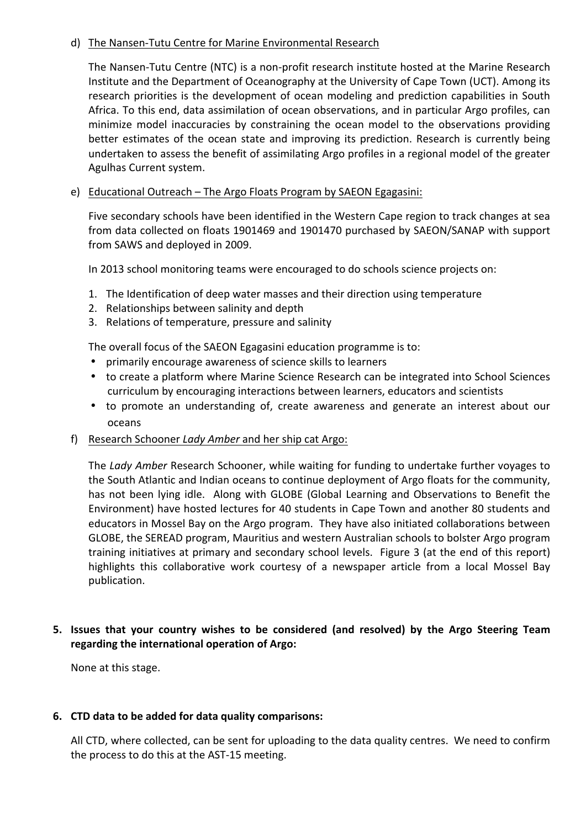#### d) The Nansen-Tutu Centre for Marine Environmental Research

The Nansen-Tutu Centre (NTC) is a non-profit research institute hosted at the Marine Research Institute and the Department of Oceanography at the University of Cape Town (UCT). Among its research priorities is the development of ocean modeling and prediction capabilities in South Africa. To this end, data assimilation of ocean observations, and in particular Argo profiles, can minimize model inaccuracies by constraining the ocean model to the observations providing better estimates of the ocean state and improving its prediction. Research is currently being undertaken to assess the benefit of assimilating Argo profiles in a regional model of the greater Agulhas Current system.

#### e) Educational Outreach – The Argo Floats Program by SAEON Egagasini:

Five secondary schools have been identified in the Western Cape region to track changes at sea from data collected on floats 1901469 and 1901470 purchased by SAEON/SANAP with support from SAWS and deployed in 2009.

In 2013 school monitoring teams were encouraged to do schools science projects on:

- 1. The Identification of deep water masses and their direction using temperature
- 2. Relationships between salinity and depth
- 3. Relations of temperature, pressure and salinity

The overall focus of the SAEON Egagasini education programme is to:

- primarily encourage awareness of science skills to learners
- to create a platform where Marine Science Research can be integrated into School Sciences curriculum by encouraging interactions between learners, educators and scientists
- to promote an understanding of, create awareness and generate an interest about our oceans
- f) Research Schooner *Lady Amber* and her ship cat Argo:

The *Lady Amber* Research Schooner, while waiting for funding to undertake further voyages to the South Atlantic and Indian oceans to continue deployment of Argo floats for the community, has not been lying idle. Along with GLOBE (Global Learning and Observations to Benefit the Environment) have hosted lectures for 40 students in Cape Town and another 80 students and educators in Mossel Bay on the Argo program. They have also initiated collaborations between GLOBE, the SEREAD program, Mauritius and western Australian schools to bolster Argo program training initiatives at primary and secondary school levels. Figure 3 (at the end of this report) highlights this collaborative work courtesy of a newspaper article from a local Mossel Bay publication.

### **5.** Issues that your country wishes to be considered (and resolved) by the Argo Steering Team regarding the international operation of Argo:

None at this stage.

#### **6. CTD data to be added for data quality comparisons:**

All CTD, where collected, can be sent for uploading to the data quality centres. We need to confirm the process to do this at the AST-15 meeting.